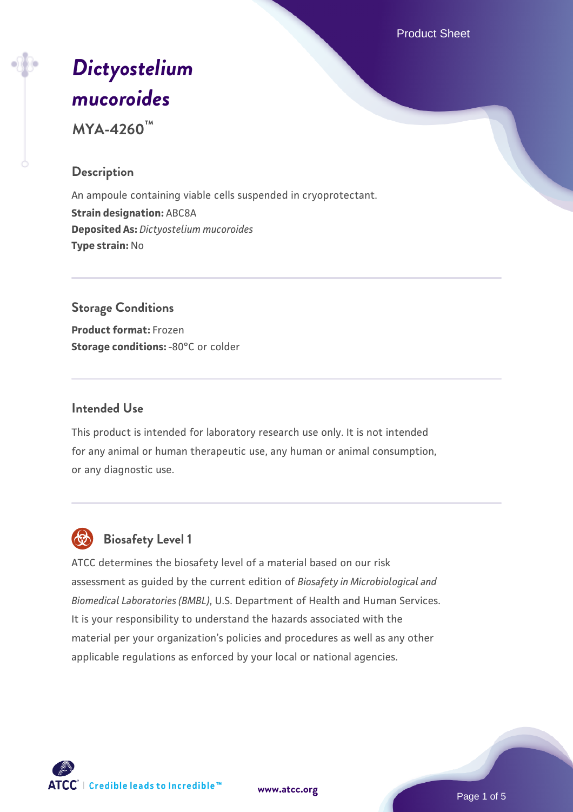Product Sheet

# *[Dictyostelium](https://www.atcc.org/products/mya-4260) [mucoroides](https://www.atcc.org/products/mya-4260)*

**MYA-4260™**

# **Description**

An ampoule containing viable cells suspended in cryoprotectant. **Strain designation:** ABC8A **Deposited As:** *Dictyostelium mucoroides* **Type strain:** No

# **Storage Conditions Product format:** Frozen

**Storage conditions: -80°C or colder** 

# **Intended Use**

This product is intended for laboratory research use only. It is not intended for any animal or human therapeutic use, any human or animal consumption, or any diagnostic use.



# **Biosafety Level 1**

ATCC determines the biosafety level of a material based on our risk assessment as guided by the current edition of *Biosafety in Microbiological and Biomedical Laboratories (BMBL)*, U.S. Department of Health and Human Services. It is your responsibility to understand the hazards associated with the material per your organization's policies and procedures as well as any other applicable regulations as enforced by your local or national agencies.

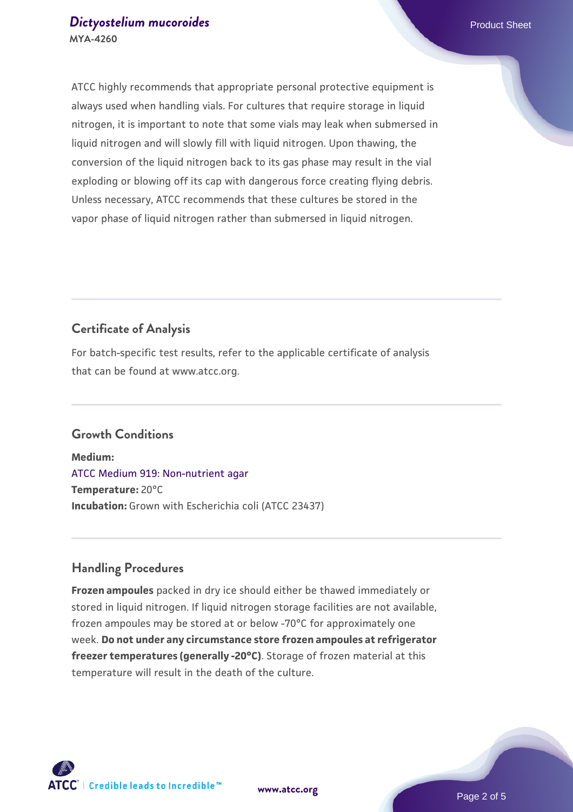#### **[Dictyostelium mucoroides](https://www.atcc.org/products/mya-4260) Product Sheet** Product Sheet **MYA-4260**

ATCC highly recommends that appropriate personal protective equipment is always used when handling vials. For cultures that require storage in liquid nitrogen, it is important to note that some vials may leak when submersed in liquid nitrogen and will slowly fill with liquid nitrogen. Upon thawing, the conversion of the liquid nitrogen back to its gas phase may result in the vial exploding or blowing off its cap with dangerous force creating flying debris. Unless necessary, ATCC recommends that these cultures be stored in the vapor phase of liquid nitrogen rather than submersed in liquid nitrogen.

# **Certificate of Analysis**

For batch-specific test results, refer to the applicable certificate of analysis that can be found at www.atcc.org.

# **Growth Conditions**

**Medium:**  [ATCC Medium 919: Non-nutrient agar](https://www.atcc.org/-/media/product-assets/documents/microbial-media-formulations/9/1/9/atcc-medium-919.pdf?rev=f4e1e31d2b4249c2a4e4c31a4c703c9e) **Temperature:** 20°C **Incubation:** Grown with Escherichia coli (ATCC 23437)

# **Handling Procedures**

**Frozen ampoules** packed in dry ice should either be thawed immediately or stored in liquid nitrogen. If liquid nitrogen storage facilities are not available, frozen ampoules may be stored at or below -70°C for approximately one week. **Do not under any circumstance store frozen ampoules at refrigerator freezer temperatures (generally -20°C)**. Storage of frozen material at this temperature will result in the death of the culture.

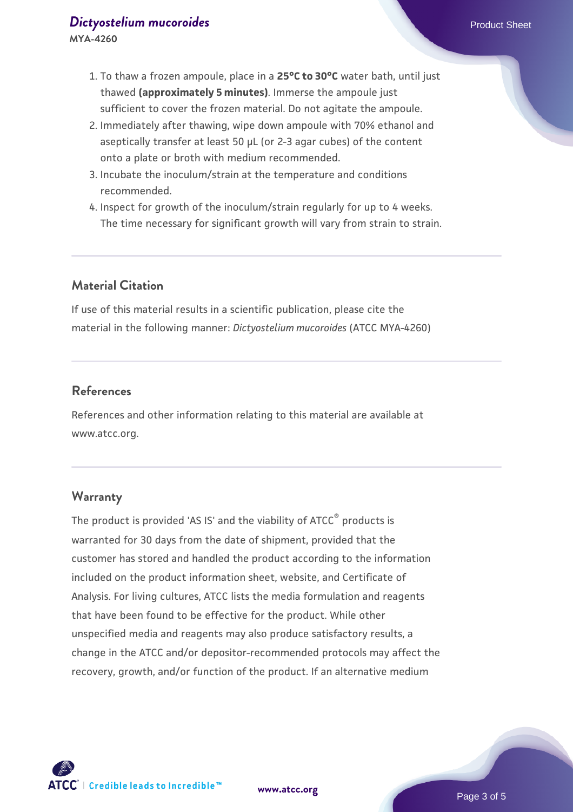- 1. To thaw a frozen ampoule, place in a **25°C to 30°C** water bath, until just thawed **(approximately 5 minutes)**. Immerse the ampoule just sufficient to cover the frozen material. Do not agitate the ampoule.
- 2. Immediately after thawing, wipe down ampoule with 70% ethanol and aseptically transfer at least 50 µL (or 2-3 agar cubes) of the content onto a plate or broth with medium recommended.
- 3. Incubate the inoculum/strain at the temperature and conditions recommended.
- 4. Inspect for growth of the inoculum/strain regularly for up to 4 weeks. The time necessary for significant growth will vary from strain to strain.

# **Material Citation**

If use of this material results in a scientific publication, please cite the material in the following manner: *Dictyostelium mucoroides* (ATCC MYA-4260)

# **References**

References and other information relating to this material are available at www.atcc.org.

#### **Warranty**

The product is provided 'AS IS' and the viability of ATCC<sup>®</sup> products is warranted for 30 days from the date of shipment, provided that the customer has stored and handled the product according to the information included on the product information sheet, website, and Certificate of Analysis. For living cultures, ATCC lists the media formulation and reagents that have been found to be effective for the product. While other unspecified media and reagents may also produce satisfactory results, a change in the ATCC and/or depositor-recommended protocols may affect the recovery, growth, and/or function of the product. If an alternative medium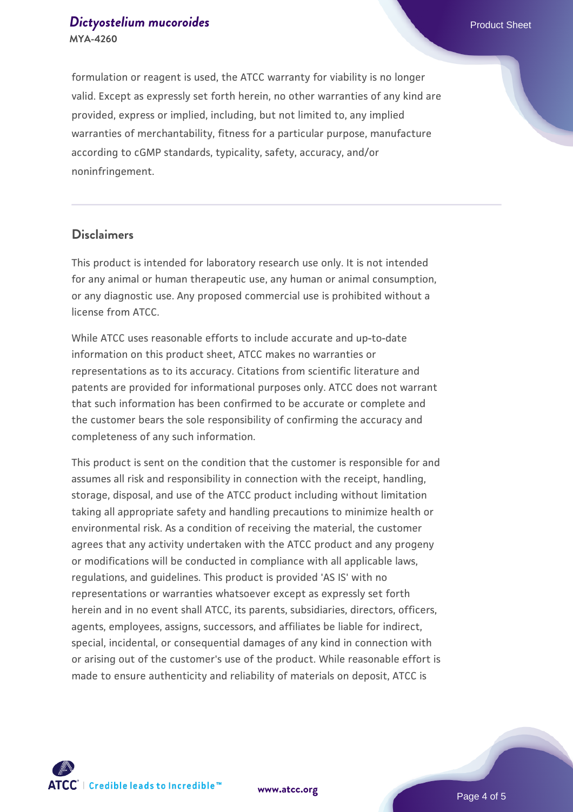#### **[Dictyostelium mucoroides](https://www.atcc.org/products/mya-4260) Product Sheet** Product Sheet **MYA-4260**

formulation or reagent is used, the ATCC warranty for viability is no longer valid. Except as expressly set forth herein, no other warranties of any kind are provided, express or implied, including, but not limited to, any implied warranties of merchantability, fitness for a particular purpose, manufacture according to cGMP standards, typicality, safety, accuracy, and/or noninfringement.

# **Disclaimers**

This product is intended for laboratory research use only. It is not intended for any animal or human therapeutic use, any human or animal consumption, or any diagnostic use. Any proposed commercial use is prohibited without a license from ATCC.

While ATCC uses reasonable efforts to include accurate and up-to-date information on this product sheet, ATCC makes no warranties or representations as to its accuracy. Citations from scientific literature and patents are provided for informational purposes only. ATCC does not warrant that such information has been confirmed to be accurate or complete and the customer bears the sole responsibility of confirming the accuracy and completeness of any such information.

This product is sent on the condition that the customer is responsible for and assumes all risk and responsibility in connection with the receipt, handling, storage, disposal, and use of the ATCC product including without limitation taking all appropriate safety and handling precautions to minimize health or environmental risk. As a condition of receiving the material, the customer agrees that any activity undertaken with the ATCC product and any progeny or modifications will be conducted in compliance with all applicable laws, regulations, and guidelines. This product is provided 'AS IS' with no representations or warranties whatsoever except as expressly set forth herein and in no event shall ATCC, its parents, subsidiaries, directors, officers, agents, employees, assigns, successors, and affiliates be liable for indirect, special, incidental, or consequential damages of any kind in connection with or arising out of the customer's use of the product. While reasonable effort is made to ensure authenticity and reliability of materials on deposit, ATCC is